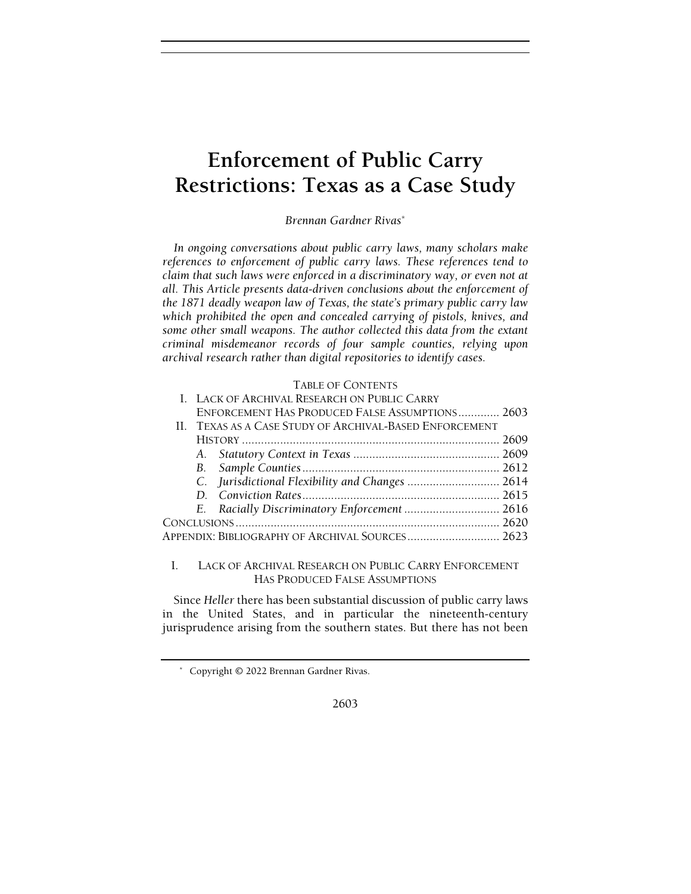# Enforcement of Public Carry Restrictions: Texas as a Case Study

Brennan Gardner Rivas\*

In ongoing conversations about public carry laws, many scholars make references to enforcement of public carry laws. These references tend to claim that such laws were enforced in a discriminatory way, or even not at all. This Article presents data-driven conclusions about the enforcement of the 1871 deadly weapon law of Texas, the state's primary public carry law which prohibited the open and concealed carrying of pistols, knives, and some other small weapons. The author collected this data from the extant criminal misdemeanor records of four sample counties, relying upon archival research rather than digital repositories to identify cases.

## TABLE OF CONTENTS

| I. LACK OF ARCHIVAL RESEARCH ON PUBLIC CARRY            |  |
|---------------------------------------------------------|--|
| ENFORCEMENT HAS PRODUCED FALSE ASSUMPTIONS 2603         |  |
| II. TEXAS AS A CASE STUDY OF ARCHIVAL-BASED ENFORCEMENT |  |
|                                                         |  |
|                                                         |  |
|                                                         |  |
|                                                         |  |
|                                                         |  |
| E. Racially Discriminatory Enforcement  2616            |  |
|                                                         |  |
| APPENDIX: BIBLIOGRAPHY OF ARCHIVAL SOURCES 2623         |  |
|                                                         |  |

# I. LACK OF ARCHIVAL RESEARCH ON PUBLIC CARRY ENFORCEMENT HAS PRODUCED FALSE ASSUMPTIONS

Since Heller there has been substantial discussion of public carry laws in the United States, and in particular the nineteenth-century jurisprudence arising from the southern states. But there has not been

2603

 <sup>\*</sup> Copyright © 2022 Brennan Gardner Rivas.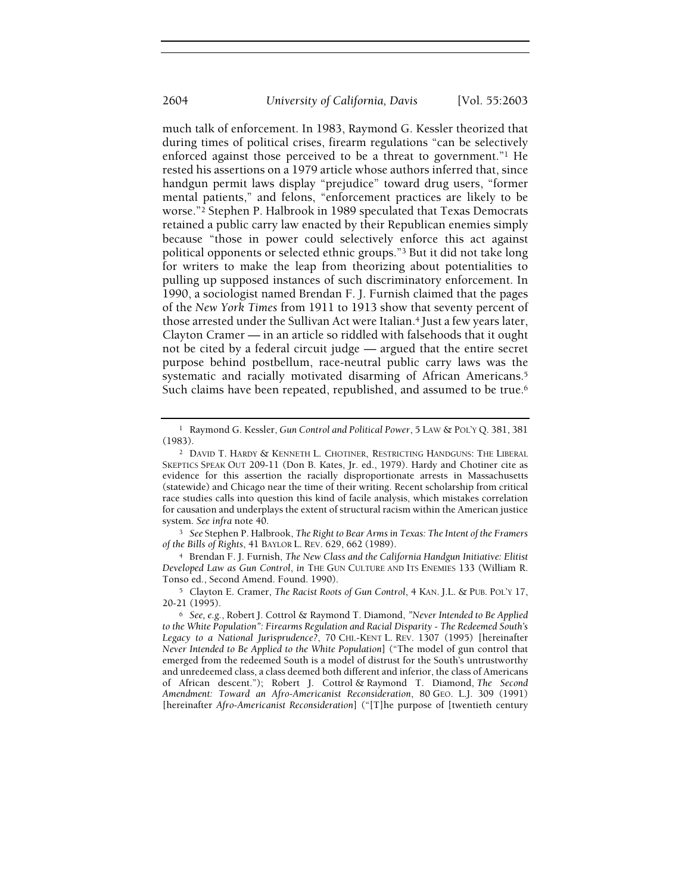much talk of enforcement. In 1983, Raymond G. Kessler theorized that during times of political crises, firearm regulations "can be selectively enforced against those perceived to be a threat to government."1 He rested his assertions on a 1979 article whose authors inferred that, since handgun permit laws display "prejudice" toward drug users, "former mental patients," and felons, "enforcement practices are likely to be worse."2 Stephen P. Halbrook in 1989 speculated that Texas Democrats retained a public carry law enacted by their Republican enemies simply because "those in power could selectively enforce this act against political opponents or selected ethnic groups."3 But it did not take long for writers to make the leap from theorizing about potentialities to pulling up supposed instances of such discriminatory enforcement. In 1990, a sociologist named Brendan F. J. Furnish claimed that the pages of the New York Times from 1911 to 1913 show that seventy percent of those arrested under the Sullivan Act were Italian.4 Just a few years later, Clayton Cramer — in an article so riddled with falsehoods that it ought not be cited by a federal circuit judge — argued that the entire secret purpose behind postbellum, race-neutral public carry laws was the systematic and racially motivated disarming of African Americans.<sup>5</sup> Such claims have been repeated, republished, and assumed to be true.<sup>6</sup>

<sup>3</sup> See Stephen P. Halbrook, The Right to Bear Arms in Texas: The Intent of the Framers of the Bills of Rights, 41 BAYLOR L. REV. 629, 662 (1989).

<sup>4</sup> Brendan F. J. Furnish, The New Class and the California Handgun Initiative: Elitist Developed Law as Gun Control, in THE GUN CULTURE AND ITS ENEMIES 133 (William R. Tonso ed., Second Amend. Found. 1990).

<sup>5</sup> Clayton E. Cramer, The Racist Roots of Gun Control, 4 KAN. J.L. & PUB. POL'Y 17, 20-21 (1995).

<sup>&</sup>lt;sup>1</sup> Raymond G. Kessler, Gun Control and Political Power, 5 LAW & POL'Y Q. 381, 381 (1983).

<sup>2</sup> DAVID T. HARDY & KENNETH L. CHOTINER, RESTRICTING HANDGUNS: THE LIBERAL SKEPTICS SPEAK OUT 209-11 (Don B. Kates, Jr. ed., 1979). Hardy and Chotiner cite as evidence for this assertion the racially disproportionate arrests in Massachusetts (statewide) and Chicago near the time of their writing. Recent scholarship from critical race studies calls into question this kind of facile analysis, which mistakes correlation for causation and underplays the extent of structural racism within the American justice system. See infra note 40.

<sup>6</sup> See, e.g., Robert J. Cottrol & Raymond T. Diamond, "Never Intended to Be Applied to the White Population": Firearms Regulation and Racial Disparity - The Redeemed South's Legacy to a National Jurisprudence?, 70 CHI.-KENT L. REV. 1307 (1995) [hereinafter Never Intended to Be Applied to the White Population] ("The model of gun control that emerged from the redeemed South is a model of distrust for the South's untrustworthy and unredeemed class, a class deemed both different and inferior, the class of Americans of African descent."); Robert J. Cottrol & Raymond T. Diamond, The Second Amendment: Toward an Afro-Americanist Reconsideration, 80 GEO. L.J. 309 (1991) [hereinafter Afro-Americanist Reconsideration] ("[T]he purpose of [twentieth century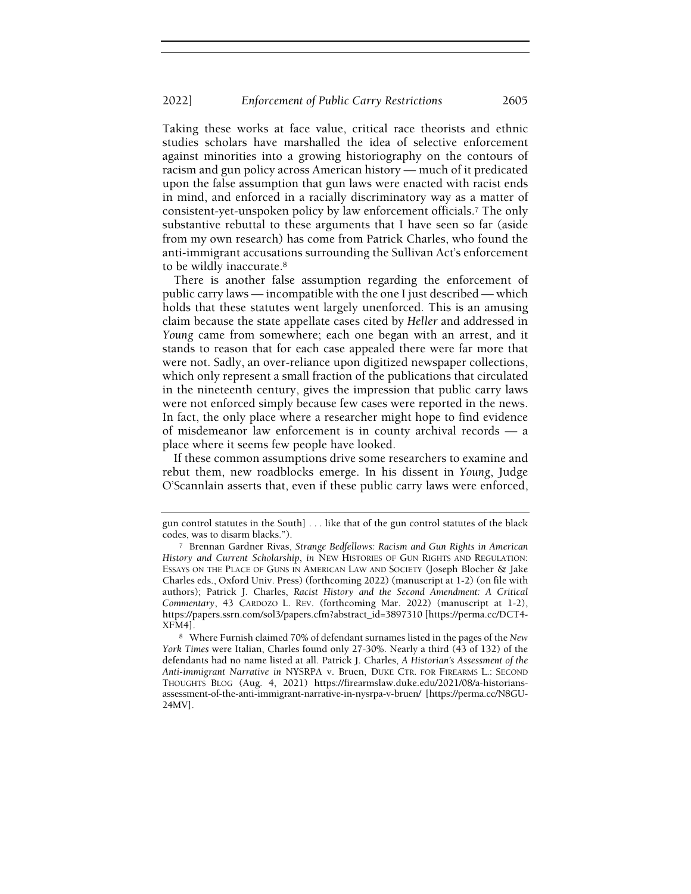Taking these works at face value, critical race theorists and ethnic studies scholars have marshalled the idea of selective enforcement against minorities into a growing historiography on the contours of racism and gun policy across American history — much of it predicated upon the false assumption that gun laws were enacted with racist ends in mind, and enforced in a racially discriminatory way as a matter of consistent-yet-unspoken policy by law enforcement officials.7 The only substantive rebuttal to these arguments that I have seen so far (aside from my own research) has come from Patrick Charles, who found the anti-immigrant accusations surrounding the Sullivan Act's enforcement to be wildly inaccurate.<sup>8</sup>

There is another false assumption regarding the enforcement of public carry laws — incompatible with the one I just described — which holds that these statutes went largely unenforced. This is an amusing claim because the state appellate cases cited by Heller and addressed in Young came from somewhere; each one began with an arrest, and it stands to reason that for each case appealed there were far more that were not. Sadly, an over-reliance upon digitized newspaper collections, which only represent a small fraction of the publications that circulated in the nineteenth century, gives the impression that public carry laws were not enforced simply because few cases were reported in the news. In fact, the only place where a researcher might hope to find evidence of misdemeanor law enforcement is in county archival records — a place where it seems few people have looked.

If these common assumptions drive some researchers to examine and rebut them, new roadblocks emerge. In his dissent in Young, Judge O'Scannlain asserts that, even if these public carry laws were enforced,

gun control statutes in the South] . . . like that of the gun control statutes of the black codes, was to disarm blacks.").

<sup>7</sup> Brennan Gardner Rivas, Strange Bedfellows: Racism and Gun Rights in American History and Current Scholarship, in NEW HISTORIES OF GUN RIGHTS AND REGULATION: ESSAYS ON THE PLACE OF GUNS IN AMERICAN LAW AND SOCIETY (Joseph Blocher & Jake Charles eds., Oxford Univ. Press) (forthcoming 2022) (manuscript at 1-2) (on file with authors); Patrick J. Charles, Racist History and the Second Amendment: A Critical Commentary, 43 CARDOZO L. REV. (forthcoming Mar. 2022) (manuscript at 1-2), https://papers.ssrn.com/sol3/papers.cfm?abstract\_id=3897310 [https://perma.cc/DCT4- XFM4].

<sup>8</sup> Where Furnish claimed 70% of defendant surnames listed in the pages of the New York Times were Italian, Charles found only 27-30%. Nearly a third (43 of 132) of the defendants had no name listed at all. Patrick J. Charles, A Historian's Assessment of the Anti-immigrant Narrative in NYSRPA v. Bruen, DUKE CTR. FOR FIREARMS L.: SECOND THOUGHTS BLOG (Aug. 4, 2021) https://firearmslaw.duke.edu/2021/08/a-historiansassessment-of-the-anti-immigrant-narrative-in-nysrpa-v-bruen/ [https://perma.cc/N8GU-24MV].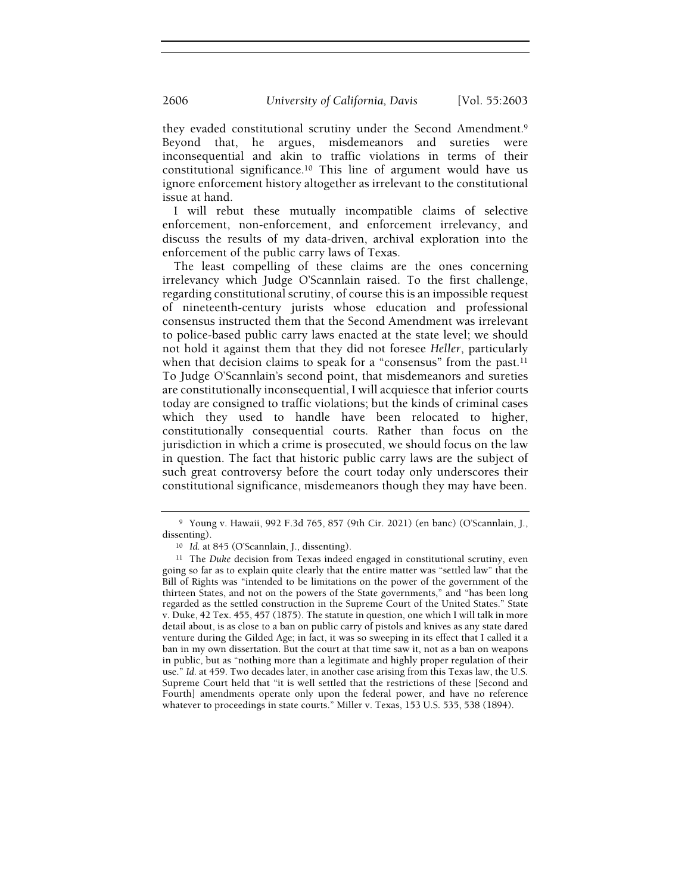they evaded constitutional scrutiny under the Second Amendment.<sup>9</sup> Beyond that, he argues, misdemeanors and sureties were inconsequential and akin to traffic violations in terms of their constitutional significance.10 This line of argument would have us ignore enforcement history altogether as irrelevant to the constitutional issue at hand.

I will rebut these mutually incompatible claims of selective enforcement, non-enforcement, and enforcement irrelevancy, and discuss the results of my data-driven, archival exploration into the enforcement of the public carry laws of Texas.

The least compelling of these claims are the ones concerning irrelevancy which Judge O'Scannlain raised. To the first challenge, regarding constitutional scrutiny, of course this is an impossible request of nineteenth-century jurists whose education and professional consensus instructed them that the Second Amendment was irrelevant to police-based public carry laws enacted at the state level; we should not hold it against them that they did not foresee Heller, particularly when that decision claims to speak for a "consensus" from the past.<sup>11</sup> To Judge O'Scannlain's second point, that misdemeanors and sureties are constitutionally inconsequential, I will acquiesce that inferior courts today are consigned to traffic violations; but the kinds of criminal cases which they used to handle have been relocated to higher, constitutionally consequential courts. Rather than focus on the jurisdiction in which a crime is prosecuted, we should focus on the law in question. The fact that historic public carry laws are the subject of such great controversy before the court today only underscores their constitutional significance, misdemeanors though they may have been.

<sup>9</sup> Young v. Hawaii, 992 F.3d 765, 857 (9th Cir. 2021) (en banc) (O'Scannlain, J., dissenting).

<sup>10</sup> Id. at 845 (O'Scannlain, J., dissenting).

<sup>&</sup>lt;sup>11</sup> The Duke decision from Texas indeed engaged in constitutional scrutiny, even going so far as to explain quite clearly that the entire matter was "settled law" that the Bill of Rights was "intended to be limitations on the power of the government of the thirteen States, and not on the powers of the State governments," and "has been long regarded as the settled construction in the Supreme Court of the United States." State v. Duke, 42 Tex. 455, 457 (1875). The statute in question, one which I will talk in more detail about, is as close to a ban on public carry of pistols and knives as any state dared venture during the Gilded Age; in fact, it was so sweeping in its effect that I called it a ban in my own dissertation. But the court at that time saw it, not as a ban on weapons in public, but as "nothing more than a legitimate and highly proper regulation of their use." Id. at 459. Two decades later, in another case arising from this Texas law, the U.S. Supreme Court held that "it is well settled that the restrictions of these [Second and Fourth] amendments operate only upon the federal power, and have no reference whatever to proceedings in state courts." Miller v. Texas, 153 U.S. 535, 538 (1894).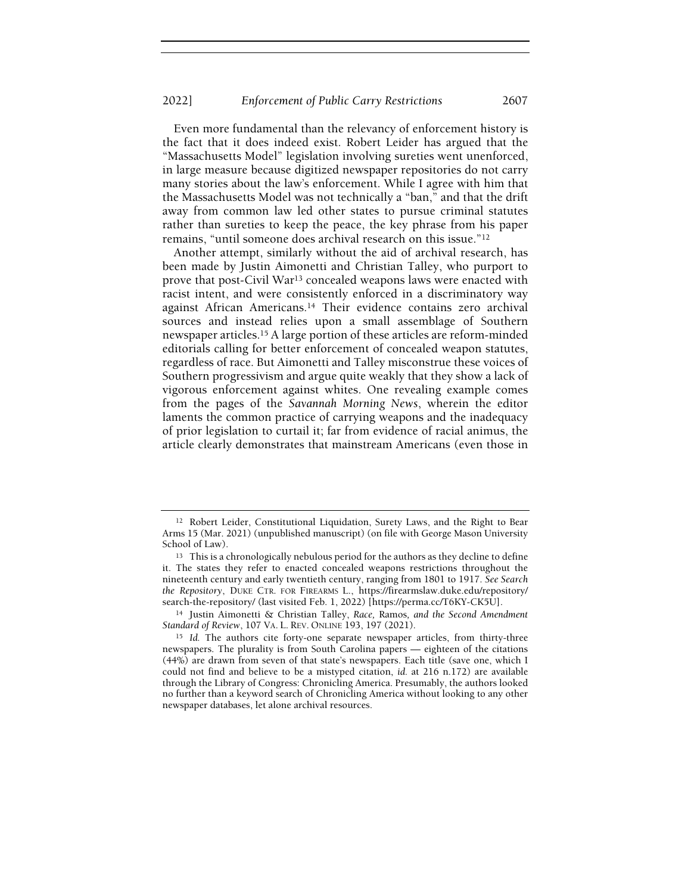Even more fundamental than the relevancy of enforcement history is the fact that it does indeed exist. Robert Leider has argued that the "Massachusetts Model" legislation involving sureties went unenforced, in large measure because digitized newspaper repositories do not carry many stories about the law's enforcement. While I agree with him that the Massachusetts Model was not technically a "ban," and that the drift away from common law led other states to pursue criminal statutes rather than sureties to keep the peace, the key phrase from his paper remains, "until someone does archival research on this issue."<sup>12</sup>

Another attempt, similarly without the aid of archival research, has been made by Justin Aimonetti and Christian Talley, who purport to prove that post-Civil War13 concealed weapons laws were enacted with racist intent, and were consistently enforced in a discriminatory way against African Americans.14 Their evidence contains zero archival sources and instead relies upon a small assemblage of Southern newspaper articles.15 A large portion of these articles are reform-minded editorials calling for better enforcement of concealed weapon statutes, regardless of race. But Aimonetti and Talley misconstrue these voices of Southern progressivism and argue quite weakly that they show a lack of vigorous enforcement against whites. One revealing example comes from the pages of the Savannah Morning News, wherein the editor laments the common practice of carrying weapons and the inadequacy of prior legislation to curtail it; far from evidence of racial animus, the article clearly demonstrates that mainstream Americans (even those in

<sup>12</sup> Robert Leider, Constitutional Liquidation, Surety Laws, and the Right to Bear Arms 15 (Mar. 2021) (unpublished manuscript) (on file with George Mason University School of Law).

<sup>&</sup>lt;sup>13</sup> This is a chronologically nebulous period for the authors as they decline to define it. The states they refer to enacted concealed weapons restrictions throughout the nineteenth century and early twentieth century, ranging from 1801 to 1917. See Search the Repository, DUKE CTR. FOR FIREARMS L., https://firearmslaw.duke.edu/repository/ search-the-repository/ (last visited Feb. 1, 2022) [https://perma.cc/T6KY-CK5U].

<sup>&</sup>lt;sup>14</sup> Justin Aimonetti & Christian Talley, Race, Ramos, and the Second Amendment Standard of Review, 107 VA. L. REV. ONLINE 193, 197 (2021).

<sup>&</sup>lt;sup>15</sup> Id. The authors cite forty-one separate newspaper articles, from thirty-three newspapers. The plurality is from South Carolina papers — eighteen of the citations (44%) are drawn from seven of that state's newspapers. Each title (save one, which I could not find and believe to be a mistyped citation, id. at 216 n.172) are available through the Library of Congress: Chronicling America. Presumably, the authors looked no further than a keyword search of Chronicling America without looking to any other newspaper databases, let alone archival resources.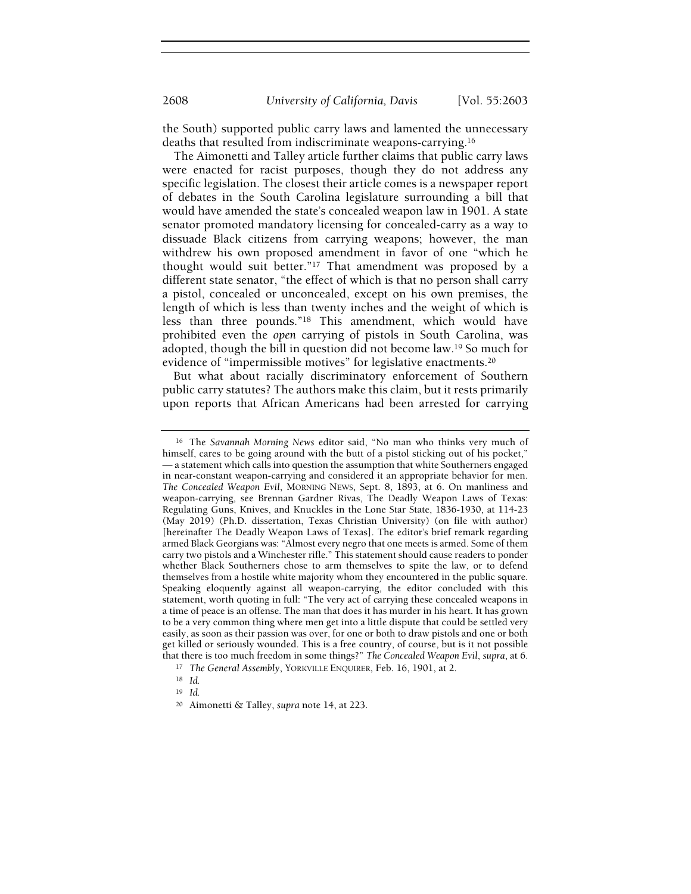the South) supported public carry laws and lamented the unnecessary deaths that resulted from indiscriminate weapons-carrying.<sup>16</sup>

The Aimonetti and Talley article further claims that public carry laws were enacted for racist purposes, though they do not address any specific legislation. The closest their article comes is a newspaper report of debates in the South Carolina legislature surrounding a bill that would have amended the state's concealed weapon law in 1901. A state senator promoted mandatory licensing for concealed-carry as a way to dissuade Black citizens from carrying weapons; however, the man withdrew his own proposed amendment in favor of one "which he thought would suit better."17 That amendment was proposed by a different state senator, "the effect of which is that no person shall carry a pistol, concealed or unconcealed, except on his own premises, the length of which is less than twenty inches and the weight of which is less than three pounds."18 This amendment, which would have prohibited even the open carrying of pistols in South Carolina, was adopted, though the bill in question did not become law.19 So much for evidence of "impermissible motives" for legislative enactments.<sup>20</sup>

But what about racially discriminatory enforcement of Southern public carry statutes? The authors make this claim, but it rests primarily upon reports that African Americans had been arrested for carrying

<sup>16</sup> The Savannah Morning News editor said, "No man who thinks very much of himself, cares to be going around with the butt of a pistol sticking out of his pocket," — a statement which calls into question the assumption that white Southerners engaged in near-constant weapon-carrying and considered it an appropriate behavior for men. The Concealed Weapon Evil, MORNING NEWS, Sept. 8, 1893, at 6. On manliness and weapon-carrying, see Brennan Gardner Rivas, The Deadly Weapon Laws of Texas: Regulating Guns, Knives, and Knuckles in the Lone Star State, 1836-1930, at 114-23 (May 2019) (Ph.D. dissertation, Texas Christian University) (on file with author) [hereinafter The Deadly Weapon Laws of Texas]. The editor's brief remark regarding armed Black Georgians was: "Almost every negro that one meets is armed. Some of them carry two pistols and a Winchester rifle." This statement should cause readers to ponder whether Black Southerners chose to arm themselves to spite the law, or to defend themselves from a hostile white majority whom they encountered in the public square. Speaking eloquently against all weapon-carrying, the editor concluded with this statement, worth quoting in full: "The very act of carrying these concealed weapons in a time of peace is an offense. The man that does it has murder in his heart. It has grown to be a very common thing where men get into a little dispute that could be settled very easily, as soon as their passion was over, for one or both to draw pistols and one or both get killed or seriously wounded. This is a free country, of course, but is it not possible that there is too much freedom in some things?" The Concealed Weapon Evil, supra, at 6.

<sup>17</sup> The General Assembly, YORKVILLE ENQUIRER, Feb. 16, 1901, at 2.

<sup>18</sup> Id.

<sup>19</sup> Id.

<sup>20</sup> Aimonetti & Talley, supra note 14, at 223.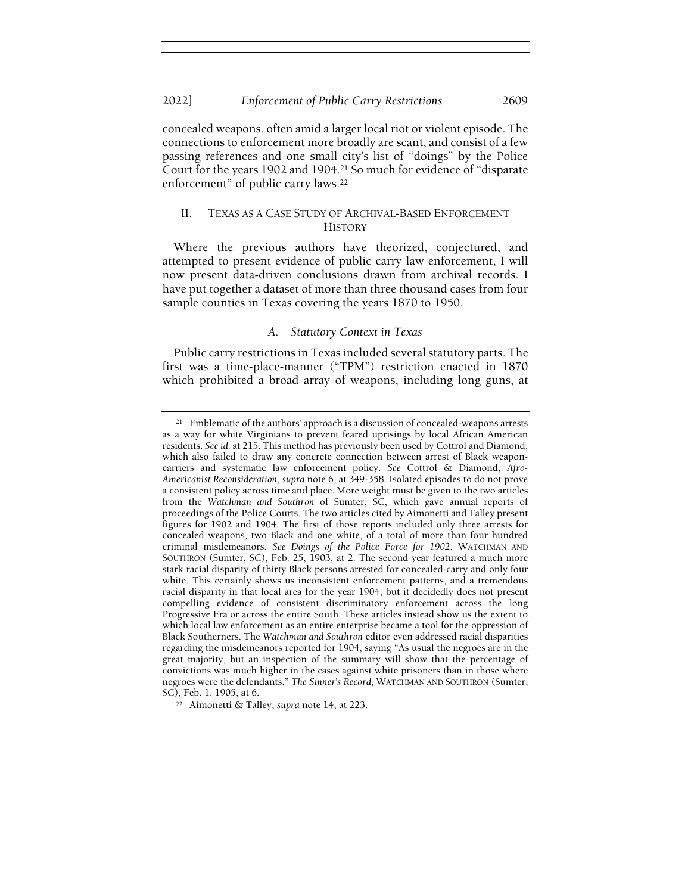concealed weapons, often amid a larger local riot or violent episode. The connections to enforcement more broadly are scant, and consist of a few passing references and one small city's list of "doings" by the Police Court for the years 1902 and 1904.21 So much for evidence of "disparate enforcement" of public carry laws.<sup>22</sup>

# II. TEXAS AS A CASE STUDY OF ARCHIVAL-BASED ENFORCEMENT **HISTORY**

Where the previous authors have theorized, conjectured, and attempted to present evidence of public carry law enforcement, I will now present data-driven conclusions drawn from archival records. I have put together a dataset of more than three thousand cases from four sample counties in Texas covering the years 1870 to 1950.

## A. Statutory Context in Texas

Public carry restrictions in Texas included several statutory parts. The first was a time-place-manner ("TPM") restriction enacted in 1870 which prohibited a broad array of weapons, including long guns, at

<sup>21</sup> Emblematic of the authors' approach is a discussion of concealed-weapons arrests as a way for white Virginians to prevent feared uprisings by local African American residents. See id. at 215. This method has previously been used by Cottrol and Diamond, which also failed to draw any concrete connection between arrest of Black weaponcarriers and systematic law enforcement policy. See Cottrol & Diamond, Afro-Americanist Reconsideration, supra note 6, at 349-358. Isolated episodes to do not prove a consistent policy across time and place. More weight must be given to the two articles from the Watchman and Southron of Sumter, SC, which gave annual reports of proceedings of the Police Courts. The two articles cited by Aimonetti and Talley present figures for 1902 and 1904. The first of those reports included only three arrests for concealed weapons, two Black and one white, of a total of more than four hundred criminal misdemeanors. See Doings of the Police Force for 1902, WATCHMAN AND SOUTHRON (Sumter, SC), Feb. 25, 1903, at 2. The second year featured a much more stark racial disparity of thirty Black persons arrested for concealed-carry and only four white. This certainly shows us inconsistent enforcement patterns, and a tremendous racial disparity in that local area for the year 1904, but it decidedly does not present compelling evidence of consistent discriminatory enforcement across the long Progressive Era or across the entire South. These articles instead show us the extent to which local law enforcement as an entire enterprise became a tool for the oppression of Black Southerners. The Watchman and Southron editor even addressed racial disparities regarding the misdemeanors reported for 1904, saying "As usual the negroes are in the great majority, but an inspection of the summary will show that the percentage of convictions was much higher in the cases against white prisoners than in those where negroes were the defendants." The Sinner's Record, WATCHMAN AND SOUTHRON (Sumter, SC), Feb. 1, 1905, at 6.

<sup>22</sup> Aimonetti & Talley, supra note 14, at 223.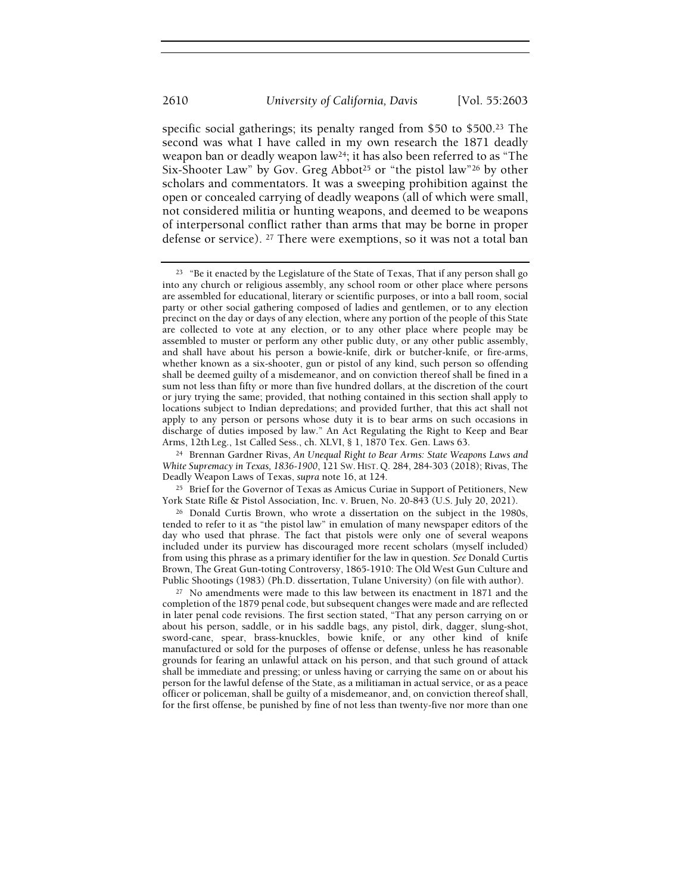specific social gatherings; its penalty ranged from \$50 to \$500.23 The second was what I have called in my own research the 1871 deadly weapon ban or deadly weapon law24; it has also been referred to as "The Six-Shooter Law" by Gov. Greg Abbot<sup>25</sup> or "the pistol law"<sup>26</sup> by other scholars and commentators. It was a sweeping prohibition against the open or concealed carrying of deadly weapons (all of which were small, not considered militia or hunting weapons, and deemed to be weapons of interpersonal conflict rather than arms that may be borne in proper defense or service). 27 There were exemptions, so it was not a total ban

<sup>&</sup>lt;sup>23</sup> "Be it enacted by the Legislature of the State of Texas, That if any person shall go into any church or religious assembly, any school room or other place where persons are assembled for educational, literary or scientific purposes, or into a ball room, social party or other social gathering composed of ladies and gentlemen, or to any election precinct on the day or days of any election, where any portion of the people of this State are collected to vote at any election, or to any other place where people may be assembled to muster or perform any other public duty, or any other public assembly, and shall have about his person a bowie-knife, dirk or butcher-knife, or fire-arms, whether known as a six-shooter, gun or pistol of any kind, such person so offending shall be deemed guilty of a misdemeanor, and on conviction thereof shall be fined in a sum not less than fifty or more than five hundred dollars, at the discretion of the court or jury trying the same; provided, that nothing contained in this section shall apply to locations subject to Indian depredations; and provided further, that this act shall not apply to any person or persons whose duty it is to bear arms on such occasions in discharge of duties imposed by law." An Act Regulating the Right to Keep and Bear Arms, 12th Leg., 1st Called Sess., ch. XLVI, § 1, 1870 Tex. Gen. Laws 63.

<sup>&</sup>lt;sup>24</sup> Brennan Gardner Rivas, An Unequal Right to Bear Arms: State Weapons Laws and White Supremacy in Texas, 1836-1900, 121 SW. HIST. Q. 284, 284-303 (2018); Rivas, The Deadly Weapon Laws of Texas, supra note 16, at 124.

<sup>&</sup>lt;sup>25</sup> Brief for the Governor of Texas as Amicus Curiae in Support of Petitioners, New York State Rifle & Pistol Association, Inc. v. Bruen, No. 20-843 (U.S. July 20, 2021).

<sup>26</sup> Donald Curtis Brown, who wrote a dissertation on the subject in the 1980s, tended to refer to it as "the pistol law" in emulation of many newspaper editors of the day who used that phrase. The fact that pistols were only one of several weapons included under its purview has discouraged more recent scholars (myself included) from using this phrase as a primary identifier for the law in question. See Donald Curtis Brown, The Great Gun-toting Controversy, 1865-1910: The Old West Gun Culture and Public Shootings (1983) (Ph.D. dissertation, Tulane University) (on file with author).

<sup>27</sup> No amendments were made to this law between its enactment in 1871 and the completion of the 1879 penal code, but subsequent changes were made and are reflected in later penal code revisions. The first section stated, "That any person carrying on or about his person, saddle, or in his saddle bags, any pistol, dirk, dagger, slung-shot, sword-cane, spear, brass-knuckles, bowie knife, or any other kind of knife manufactured or sold for the purposes of offense or defense, unless he has reasonable grounds for fearing an unlawful attack on his person, and that such ground of attack shall be immediate and pressing; or unless having or carrying the same on or about his person for the lawful defense of the State, as a militiaman in actual service, or as a peace officer or policeman, shall be guilty of a misdemeanor, and, on conviction thereof shall, for the first offense, be punished by fine of not less than twenty-five nor more than one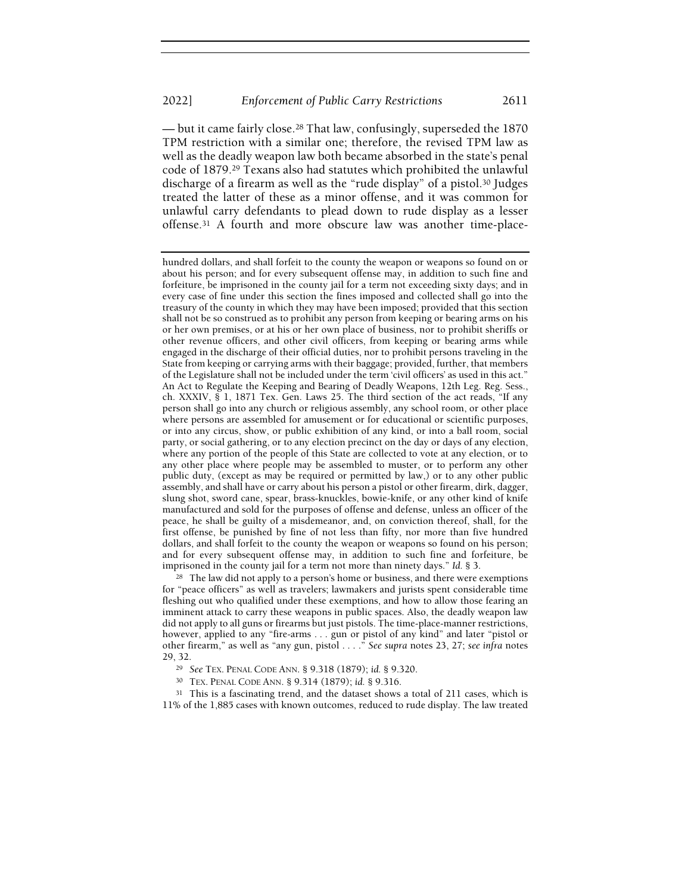— but it came fairly close.28 That law, confusingly, superseded the 1870 TPM restriction with a similar one; therefore, the revised TPM law as well as the deadly weapon law both became absorbed in the state's penal code of 1879.29 Texans also had statutes which prohibited the unlawful discharge of a firearm as well as the "rude display" of a pistol.30 Judges treated the latter of these as a minor offense, and it was common for unlawful carry defendants to plead down to rude display as a lesser offense.31 A fourth and more obscure law was another time-place-

<sup>28</sup> The law did not apply to a person's home or business, and there were exemptions for "peace officers" as well as travelers; lawmakers and jurists spent considerable time fleshing out who qualified under these exemptions, and how to allow those fearing an imminent attack to carry these weapons in public spaces. Also, the deadly weapon law did not apply to all guns or firearms but just pistols. The time-place-manner restrictions, however, applied to any "fire-arms . . . gun or pistol of any kind" and later "pistol or other firearm," as well as "any gun, pistol . . . ." See supra notes 23, 27; see infra notes 29, 32.

<sup>29</sup> See TEX. PENAL CODE ANN. § 9.318 (1879); id. § 9.320.

<sup>30</sup> TEX. PENAL CODE ANN. § 9.314 (1879); id. § 9.316.

<sup>31</sup> This is a fascinating trend, and the dataset shows a total of 211 cases, which is 11% of the 1,885 cases with known outcomes, reduced to rude display. The law treated

hundred dollars, and shall forfeit to the county the weapon or weapons so found on or about his person; and for every subsequent offense may, in addition to such fine and forfeiture, be imprisoned in the county jail for a term not exceeding sixty days; and in every case of fine under this section the fines imposed and collected shall go into the treasury of the county in which they may have been imposed; provided that this section shall not be so construed as to prohibit any person from keeping or bearing arms on his or her own premises, or at his or her own place of business, nor to prohibit sheriffs or other revenue officers, and other civil officers, from keeping or bearing arms while engaged in the discharge of their official duties, nor to prohibit persons traveling in the State from keeping or carrying arms with their baggage; provided, further, that members of the Legislature shall not be included under the term 'civil officers' as used in this act." An Act to Regulate the Keeping and Bearing of Deadly Weapons, 12th Leg. Reg. Sess., ch. XXXIV, § 1, 1871 Tex. Gen. Laws 25. The third section of the act reads, "If any person shall go into any church or religious assembly, any school room, or other place where persons are assembled for amusement or for educational or scientific purposes, or into any circus, show, or public exhibition of any kind, or into a ball room, social party, or social gathering, or to any election precinct on the day or days of any election, where any portion of the people of this State are collected to vote at any election, or to any other place where people may be assembled to muster, or to perform any other public duty, (except as may be required or permitted by law,) or to any other public assembly, and shall have or carry about his person a pistol or other firearm, dirk, dagger, slung shot, sword cane, spear, brass-knuckles, bowie-knife, or any other kind of knife manufactured and sold for the purposes of offense and defense, unless an officer of the peace, he shall be guilty of a misdemeanor, and, on conviction thereof, shall, for the first offense, be punished by fine of not less than fifty, nor more than five hundred dollars, and shall forfeit to the county the weapon or weapons so found on his person; and for every subsequent offense may, in addition to such fine and forfeiture, be imprisoned in the county jail for a term not more than ninety days." Id. § 3.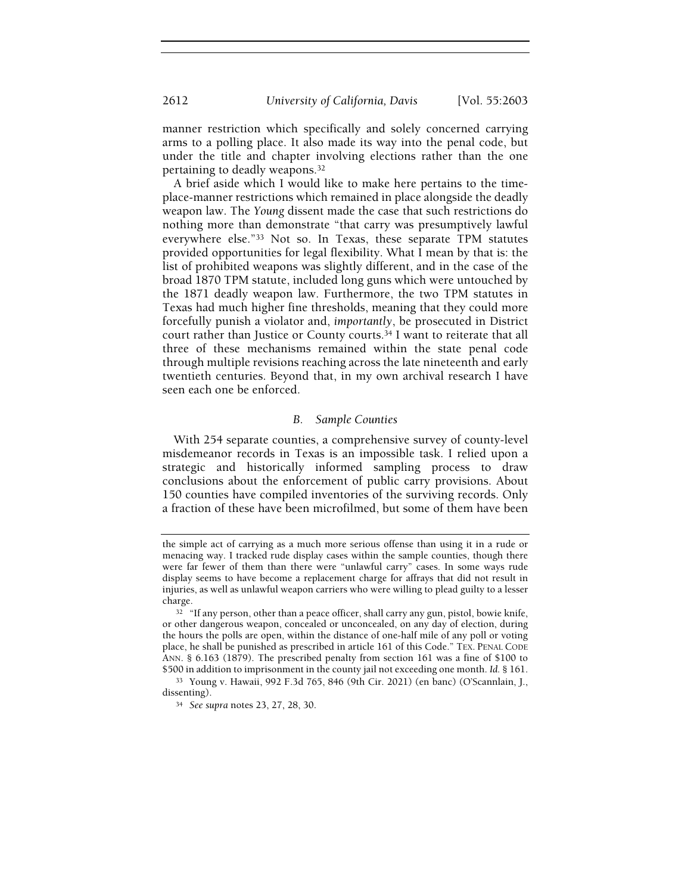manner restriction which specifically and solely concerned carrying arms to a polling place. It also made its way into the penal code, but under the title and chapter involving elections rather than the one pertaining to deadly weapons.<sup>32</sup>

A brief aside which I would like to make here pertains to the timeplace-manner restrictions which remained in place alongside the deadly weapon law. The Young dissent made the case that such restrictions do nothing more than demonstrate "that carry was presumptively lawful everywhere else."33 Not so. In Texas, these separate TPM statutes provided opportunities for legal flexibility. What I mean by that is: the list of prohibited weapons was slightly different, and in the case of the broad 1870 TPM statute, included long guns which were untouched by the 1871 deadly weapon law. Furthermore, the two TPM statutes in Texas had much higher fine thresholds, meaning that they could more forcefully punish a violator and, importantly, be prosecuted in District court rather than Justice or County courts.34 I want to reiterate that all three of these mechanisms remained within the state penal code through multiple revisions reaching across the late nineteenth and early twentieth centuries. Beyond that, in my own archival research I have seen each one be enforced.

#### B. Sample Counties

With 254 separate counties, a comprehensive survey of county-level misdemeanor records in Texas is an impossible task. I relied upon a strategic and historically informed sampling process to draw conclusions about the enforcement of public carry provisions. About 150 counties have compiled inventories of the surviving records. Only a fraction of these have been microfilmed, but some of them have been

the simple act of carrying as a much more serious offense than using it in a rude or menacing way. I tracked rude display cases within the sample counties, though there were far fewer of them than there were "unlawful carry" cases. In some ways rude display seems to have become a replacement charge for affrays that did not result in injuries, as well as unlawful weapon carriers who were willing to plead guilty to a lesser charge.

<sup>&</sup>lt;sup>32</sup> "If any person, other than a peace officer, shall carry any gun, pistol, bowie knife, or other dangerous weapon, concealed or unconcealed, on any day of election, during the hours the polls are open, within the distance of one-half mile of any poll or voting place, he shall be punished as prescribed in article 161 of this Code." TEX. PENAL CODE ANN. § 6.163 (1879). The prescribed penalty from section 161 was a fine of \$100 to \$500 in addition to imprisonment in the county jail not exceeding one month. Id. § 161.

<sup>33</sup> Young v. Hawaii, 992 F.3d 765, 846 (9th Cir. 2021) (en banc) (O'Scannlain, J., dissenting).

<sup>34</sup> See supra notes 23, 27, 28, 30.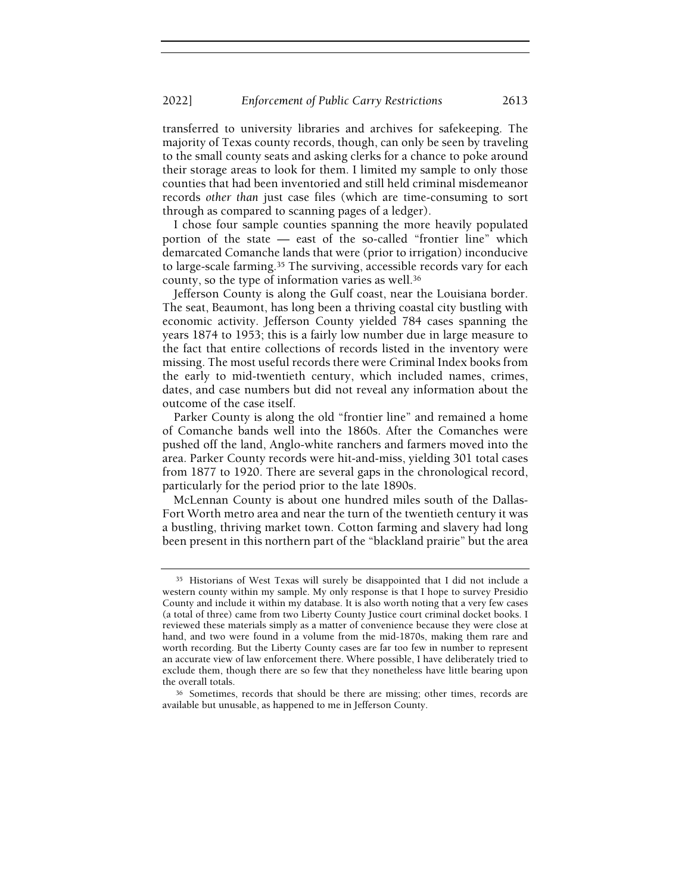transferred to university libraries and archives for safekeeping. The majority of Texas county records, though, can only be seen by traveling to the small county seats and asking clerks for a chance to poke around their storage areas to look for them. I limited my sample to only those counties that had been inventoried and still held criminal misdemeanor records other than just case files (which are time-consuming to sort through as compared to scanning pages of a ledger).

I chose four sample counties spanning the more heavily populated portion of the state — east of the so-called "frontier line" which demarcated Comanche lands that were (prior to irrigation) inconducive to large-scale farming.<sup>35</sup> The surviving, accessible records vary for each county, so the type of information varies as well.<sup>36</sup>

Jefferson County is along the Gulf coast, near the Louisiana border. The seat, Beaumont, has long been a thriving coastal city bustling with economic activity. Jefferson County yielded 784 cases spanning the years 1874 to 1953; this is a fairly low number due in large measure to the fact that entire collections of records listed in the inventory were missing. The most useful records there were Criminal Index books from the early to mid-twentieth century, which included names, crimes, dates, and case numbers but did not reveal any information about the outcome of the case itself.

Parker County is along the old "frontier line" and remained a home of Comanche bands well into the 1860s. After the Comanches were pushed off the land, Anglo-white ranchers and farmers moved into the area. Parker County records were hit-and-miss, yielding 301 total cases from 1877 to 1920. There are several gaps in the chronological record, particularly for the period prior to the late 1890s.

McLennan County is about one hundred miles south of the Dallas-Fort Worth metro area and near the turn of the twentieth century it was a bustling, thriving market town. Cotton farming and slavery had long been present in this northern part of the "blackland prairie" but the area

<sup>35</sup> Historians of West Texas will surely be disappointed that I did not include a western county within my sample. My only response is that I hope to survey Presidio County and include it within my database. It is also worth noting that a very few cases (a total of three) came from two Liberty County Justice court criminal docket books. I reviewed these materials simply as a matter of convenience because they were close at hand, and two were found in a volume from the mid-1870s, making them rare and worth recording. But the Liberty County cases are far too few in number to represent an accurate view of law enforcement there. Where possible, I have deliberately tried to exclude them, though there are so few that they nonetheless have little bearing upon the overall totals.

<sup>36</sup> Sometimes, records that should be there are missing; other times, records are available but unusable, as happened to me in Jefferson County.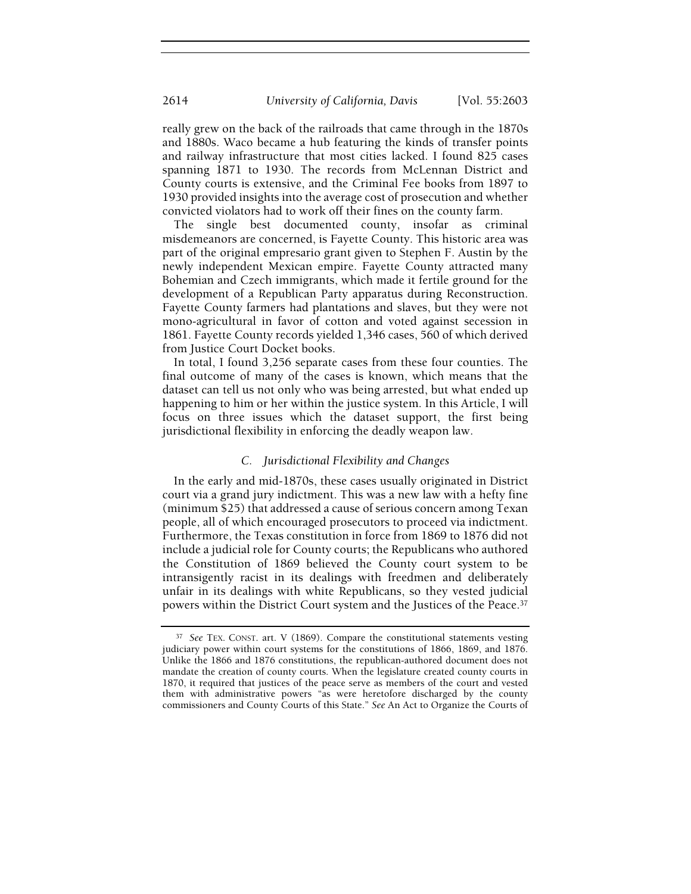really grew on the back of the railroads that came through in the 1870s and 1880s. Waco became a hub featuring the kinds of transfer points and railway infrastructure that most cities lacked. I found 825 cases spanning 1871 to 1930. The records from McLennan District and County courts is extensive, and the Criminal Fee books from 1897 to 1930 provided insights into the average cost of prosecution and whether convicted violators had to work off their fines on the county farm.

The single best documented county, insofar as criminal misdemeanors are concerned, is Fayette County. This historic area was part of the original empresario grant given to Stephen F. Austin by the newly independent Mexican empire. Fayette County attracted many Bohemian and Czech immigrants, which made it fertile ground for the development of a Republican Party apparatus during Reconstruction. Fayette County farmers had plantations and slaves, but they were not mono-agricultural in favor of cotton and voted against secession in 1861. Fayette County records yielded 1,346 cases, 560 of which derived from Justice Court Docket books.

In total, I found 3,256 separate cases from these four counties. The final outcome of many of the cases is known, which means that the dataset can tell us not only who was being arrested, but what ended up happening to him or her within the justice system. In this Article, I will focus on three issues which the dataset support, the first being jurisdictional flexibility in enforcing the deadly weapon law.

## C. Jurisdictional Flexibility and Changes

In the early and mid-1870s, these cases usually originated in District court via a grand jury indictment. This was a new law with a hefty fine (minimum \$25) that addressed a cause of serious concern among Texan people, all of which encouraged prosecutors to proceed via indictment. Furthermore, the Texas constitution in force from 1869 to 1876 did not include a judicial role for County courts; the Republicans who authored the Constitution of 1869 believed the County court system to be intransigently racist in its dealings with freedmen and deliberately unfair in its dealings with white Republicans, so they vested judicial powers within the District Court system and the Justices of the Peace.<sup>37</sup>

<sup>&</sup>lt;sup>37</sup> See TEX. CONST. art. V (1869). Compare the constitutional statements vesting judiciary power within court systems for the constitutions of 1866, 1869, and 1876. Unlike the 1866 and 1876 constitutions, the republican-authored document does not mandate the creation of county courts. When the legislature created county courts in 1870, it required that justices of the peace serve as members of the court and vested them with administrative powers "as were heretofore discharged by the county commissioners and County Courts of this State." See An Act to Organize the Courts of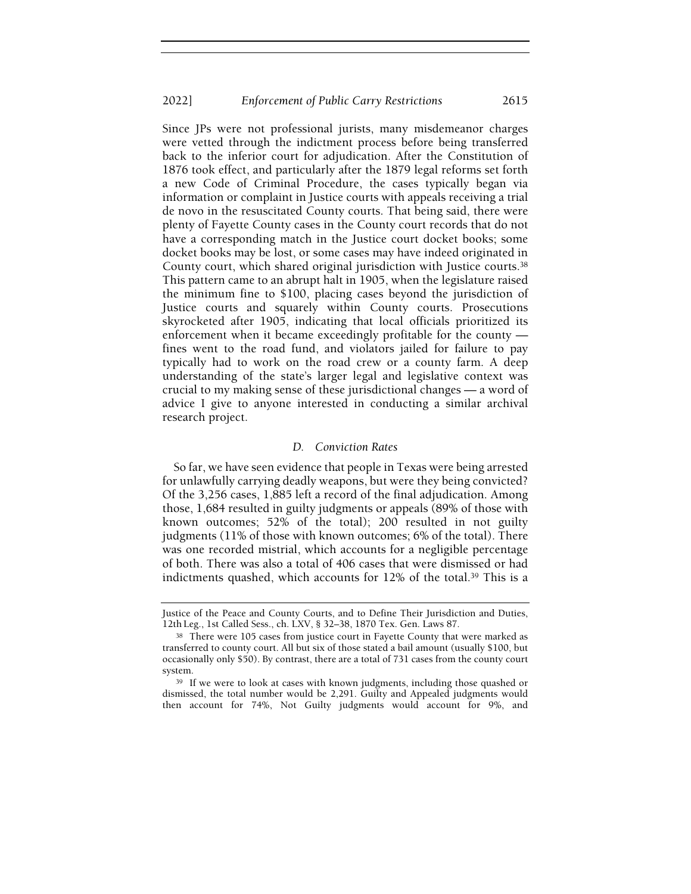Since JPs were not professional jurists, many misdemeanor charges were vetted through the indictment process before being transferred back to the inferior court for adjudication. After the Constitution of 1876 took effect, and particularly after the 1879 legal reforms set forth a new Code of Criminal Procedure, the cases typically began via information or complaint in Justice courts with appeals receiving a trial de novo in the resuscitated County courts. That being said, there were plenty of Fayette County cases in the County court records that do not have a corresponding match in the Justice court docket books; some docket books may be lost, or some cases may have indeed originated in County court, which shared original jurisdiction with Justice courts.<sup>38</sup> This pattern came to an abrupt halt in 1905, when the legislature raised the minimum fine to \$100, placing cases beyond the jurisdiction of Justice courts and squarely within County courts. Prosecutions skyrocketed after 1905, indicating that local officials prioritized its enforcement when it became exceedingly profitable for the county fines went to the road fund, and violators jailed for failure to pay typically had to work on the road crew or a county farm. A deep understanding of the state's larger legal and legislative context was crucial to my making sense of these jurisdictional changes — a word of advice I give to anyone interested in conducting a similar archival research project.

#### D. Conviction Rates

So far, we have seen evidence that people in Texas were being arrested for unlawfully carrying deadly weapons, but were they being convicted? Of the 3,256 cases, 1,885 left a record of the final adjudication. Among those, 1,684 resulted in guilty judgments or appeals (89% of those with known outcomes; 52% of the total); 200 resulted in not guilty judgments (11% of those with known outcomes; 6% of the total). There was one recorded mistrial, which accounts for a negligible percentage of both. There was also a total of 406 cases that were dismissed or had indictments quashed, which accounts for 12% of the total.<sup>39</sup> This is a

Justice of the Peace and County Courts, and to Define Their Jurisdiction and Duties, 12th Leg., 1st Called Sess., ch. LXV, § 32–38, 1870 Tex. Gen. Laws 87.

<sup>&</sup>lt;sup>38</sup> There were 105 cases from justice court in Fayette County that were marked as transferred to county court. All but six of those stated a bail amount (usually \$100, but occasionally only \$50). By contrast, there are a total of 731 cases from the county court system.

<sup>&</sup>lt;sup>39</sup> If we were to look at cases with known judgments, including those quashed or dismissed, the total number would be 2,291. Guilty and Appealed judgments would then account for 74%, Not Guilty judgments would account for 9%, and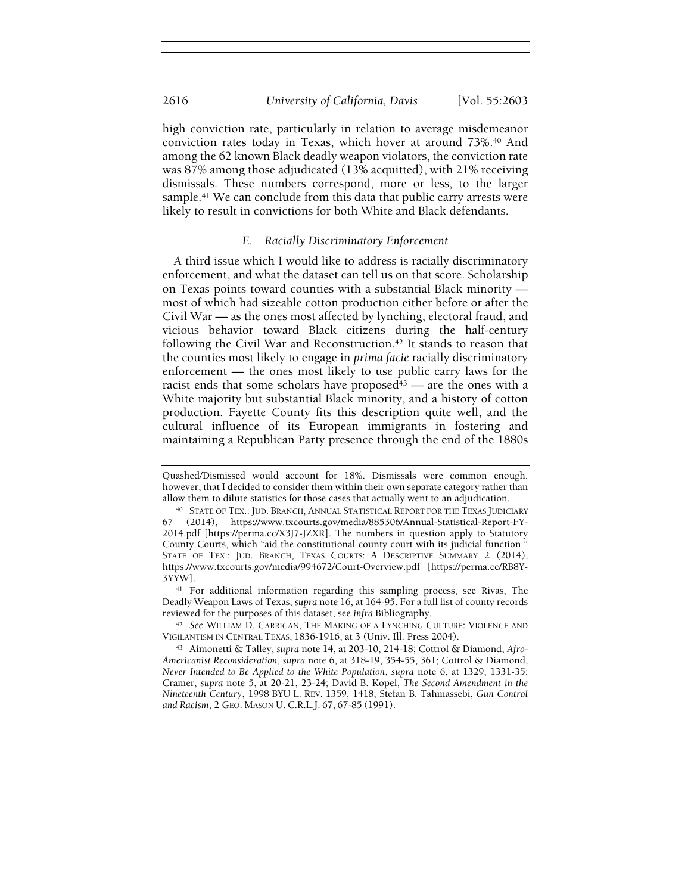2616 University of California, Davis [Vol. 55:2603

high conviction rate, particularly in relation to average misdemeanor conviction rates today in Texas, which hover at around 73%.40 And among the 62 known Black deadly weapon violators, the conviction rate was 87% among those adjudicated (13% acquitted), with 21% receiving dismissals. These numbers correspond, more or less, to the larger sample.<sup>41</sup> We can conclude from this data that public carry arrests were likely to result in convictions for both White and Black defendants.

## E. Racially Discriminatory Enforcement

A third issue which I would like to address is racially discriminatory enforcement, and what the dataset can tell us on that score. Scholarship on Texas points toward counties with a substantial Black minority most of which had sizeable cotton production either before or after the Civil War — as the ones most affected by lynching, electoral fraud, and vicious behavior toward Black citizens during the half-century following the Civil War and Reconstruction.<sup>42</sup> It stands to reason that the counties most likely to engage in prima facie racially discriminatory enforcement — the ones most likely to use public carry laws for the racist ends that some scholars have proposed $43$  — are the ones with a White majority but substantial Black minority, and a history of cotton production. Fayette County fits this description quite well, and the cultural influence of its European immigrants in fostering and maintaining a Republican Party presence through the end of the 1880s

<sup>41</sup> For additional information regarding this sampling process, see Rivas, The Deadly Weapon Laws of Texas, supra note 16, at 164-95. For a full list of county records reviewed for the purposes of this dataset, see infra Bibliography.

42 See WILLIAM D. CARRIGAN, THE MAKING OF A LYNCHING CULTURE: VIOLENCE AND VIGILANTISM IN CENTRAL TEXAS, 1836-1916, at 3 (Univ. Ill. Press 2004).

Quashed/Dismissed would account for 18%. Dismissals were common enough, however, that I decided to consider them within their own separate category rather than allow them to dilute statistics for those cases that actually went to an adjudication.

<sup>40</sup> STATE OF TEX.: JUD. BRANCH, ANNUAL STATISTICAL REPORT FOR THE TEXAS JUDICIARY 67 (2014), https://www.txcourts.gov/media/885306/Annual-Statistical-Report-FY-2014.pdf [https://perma.cc/X3J7-JZXR]. The numbers in question apply to Statutory County Courts, which "aid the constitutional county court with its judicial function." STATE OF TEX.: JUD. BRANCH, TEXAS COURTS: A DESCRIPTIVE SUMMARY 2 (2014), https://www.txcourts.gov/media/994672/Court-Overview.pdf [https://perma.cc/RB8Y-3YYW].

<sup>43</sup> Aimonetti & Talley, supra note 14, at 203-10, 214-18; Cottrol & Diamond, Afro-Americanist Reconsideration, supra note 6, at 318-19, 354-55, 361; Cottrol & Diamond, Never Intended to Be Applied to the White Population, supra note 6, at 1329, 1331-35; Cramer, supra note 5, at 20-21, 23-24; David B. Kopel, The Second Amendment in the Nineteenth Century, 1998 BYU L. REV. 1359, 1418; Stefan B. Tahmassebi, Gun Control and Racism, 2 GEO. MASON U. C.R.L.J. 67, 67-85 (1991).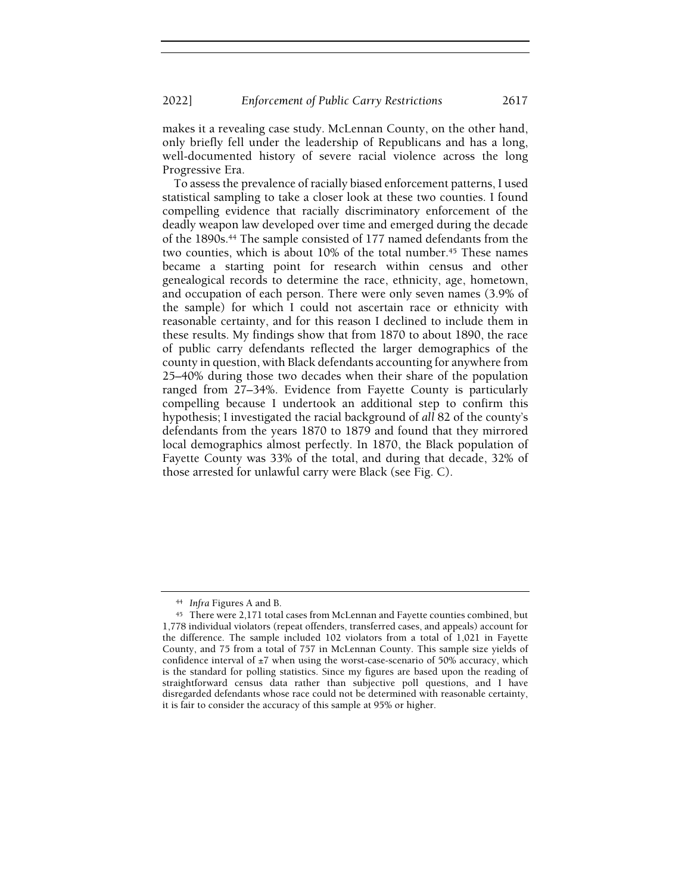makes it a revealing case study. McLennan County, on the other hand, only briefly fell under the leadership of Republicans and has a long, well-documented history of severe racial violence across the long Progressive Era.

To assess the prevalence of racially biased enforcement patterns, I used statistical sampling to take a closer look at these two counties. I found compelling evidence that racially discriminatory enforcement of the deadly weapon law developed over time and emerged during the decade of the 1890s.44 The sample consisted of 177 named defendants from the two counties, which is about  $10\%$  of the total number.<sup>45</sup> These names became a starting point for research within census and other genealogical records to determine the race, ethnicity, age, hometown, and occupation of each person. There were only seven names (3.9% of the sample) for which I could not ascertain race or ethnicity with reasonable certainty, and for this reason I declined to include them in these results. My findings show that from 1870 to about 1890, the race of public carry defendants reflected the larger demographics of the county in question, with Black defendants accounting for anywhere from 25–40% during those two decades when their share of the population ranged from 27–34%. Evidence from Fayette County is particularly compelling because I undertook an additional step to confirm this hypothesis; I investigated the racial background of all 82 of the county's defendants from the years 1870 to 1879 and found that they mirrored local demographics almost perfectly. In 1870, the Black population of Fayette County was 33% of the total, and during that decade, 32% of those arrested for unlawful carry were Black (see Fig. C).

<sup>44</sup> Infra Figures A and B.

<sup>45</sup> There were 2,171 total cases from McLennan and Fayette counties combined, but 1,778 individual violators (repeat offenders, transferred cases, and appeals) account for the difference. The sample included 102 violators from a total of 1,021 in Fayette County, and 75 from a total of 757 in McLennan County. This sample size yields of confidence interval of ±7 when using the worst-case-scenario of 50% accuracy, which is the standard for polling statistics. Since my figures are based upon the reading of straightforward census data rather than subjective poll questions, and I have disregarded defendants whose race could not be determined with reasonable certainty, it is fair to consider the accuracy of this sample at 95% or higher.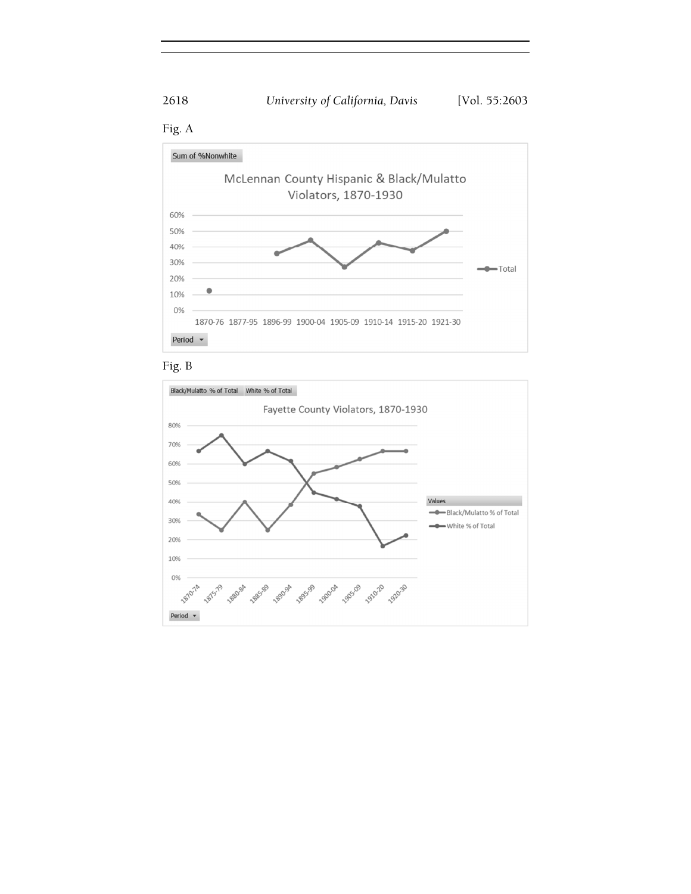









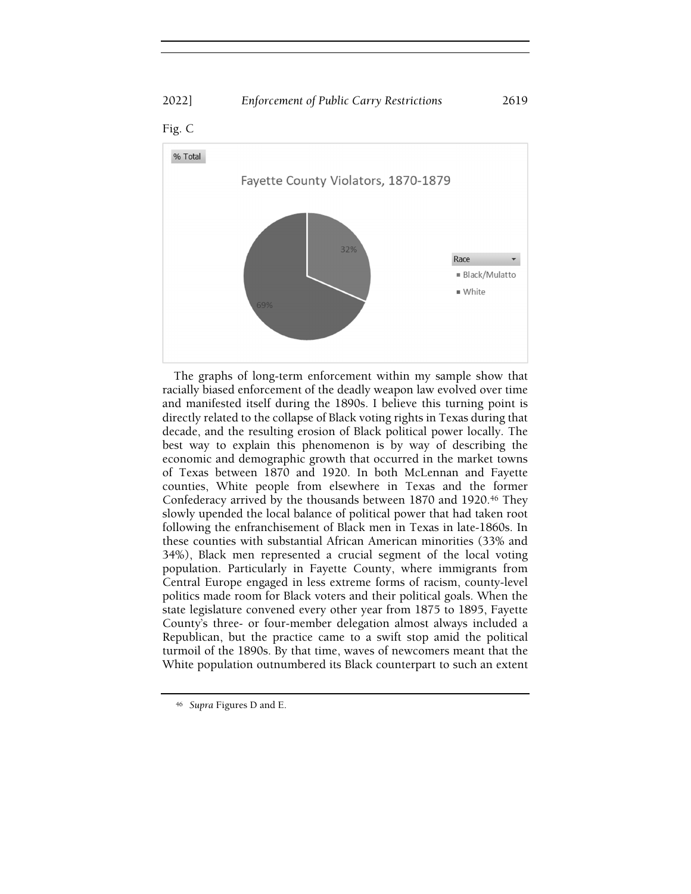# 2022] Enforcement of Public Carry Restrictions 2619



The graphs of long-term enforcement within my sample show that racially biased enforcement of the deadly weapon law evolved over time and manifested itself during the 1890s. I believe this turning point is directly related to the collapse of Black voting rights in Texas during that decade, and the resulting erosion of Black political power locally. The best way to explain this phenomenon is by way of describing the economic and demographic growth that occurred in the market towns of Texas between 1870 and 1920. In both McLennan and Fayette counties, White people from elsewhere in Texas and the former Confederacy arrived by the thousands between 1870 and 1920.<sup>46</sup> They slowly upended the local balance of political power that had taken root following the enfranchisement of Black men in Texas in late-1860s. In these counties with substantial African American minorities (33% and 34%), Black men represented a crucial segment of the local voting population. Particularly in Fayette County, where immigrants from Central Europe engaged in less extreme forms of racism, county-level politics made room for Black voters and their political goals. When the state legislature convened every other year from 1875 to 1895, Fayette County's three- or four-member delegation almost always included a Republican, but the practice came to a swift stop amid the political turmoil of the 1890s. By that time, waves of newcomers meant that the White population outnumbered its Black counterpart to such an extent

<sup>46</sup> Supra Figures D and E.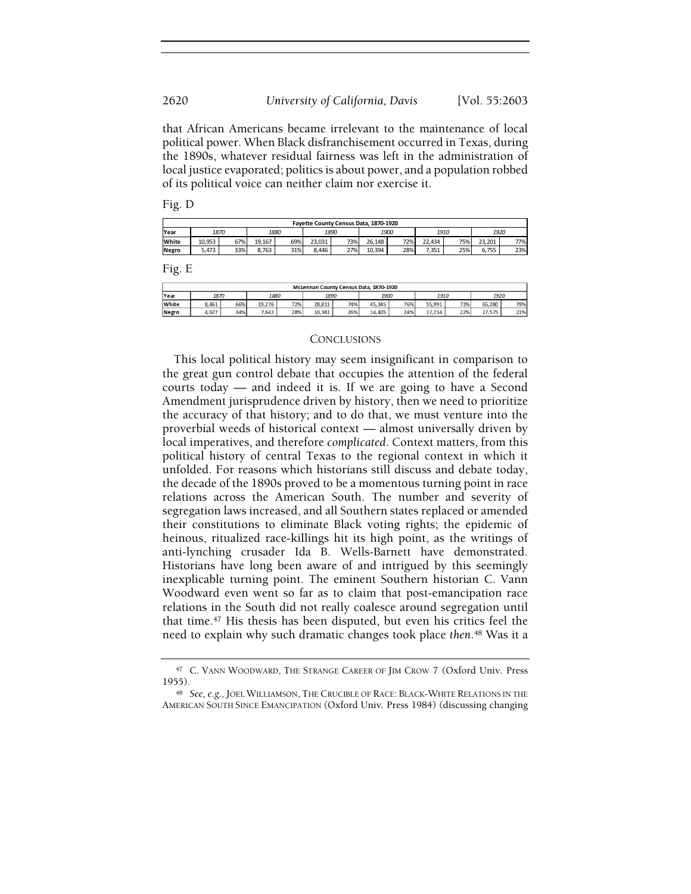that African Americans became irrelevant to the maintenance of local political power. When Black disfranchisement occurred in Texas, during the 1890s, whatever residual fairness was left in the administration of local justice evaporated; politics is about power, and a population robbed of its political voice can neither claim nor exercise it.

Fig. D

| Fayette County Census Data, 1870-1920 |        |     |        |     |        |     |        |     |        |     |        |     |
|---------------------------------------|--------|-----|--------|-----|--------|-----|--------|-----|--------|-----|--------|-----|
| Year                                  | 1870   |     | 1880   |     | 1890   |     | 1900   |     | 1910   |     | 1920   |     |
| White                                 | 10.953 | 67% | 19.167 | 69% | 23.031 | 73% | 26.148 | 72% | 22.434 | 75% | 23.201 | 77% |
| Negro                                 | .473   | 33% | 8.763  | 31% | 8.446  | 27% | 10.394 | 28% | 7.351  | 25% | 6.755  | 23% |

Fig. E

| McLennan County Census Data, 1870-1920 |       |     |        |     |        |     |        |     |        |     |        |     |
|----------------------------------------|-------|-----|--------|-----|--------|-----|--------|-----|--------|-----|--------|-----|
| Year                                   | 1870  |     | 1880   |     | 1890   |     | 1900   |     | 1910   |     | 1920   |     |
| White                                  | 8.861 | 66% | 19,276 | 72% | 28.811 | 74% | 45.345 | 76% | 55,991 | 73% | 65.280 | 79% |
| Negro                                  | 4,627 | 34% | 7,643  | 28% | 10,381 | 26% | 14,405 | 24% | 17,234 | 22% | 17,575 | 21% |

#### **CONCLUSIONS**

This local political history may seem insignificant in comparison to the great gun control debate that occupies the attention of the federal courts today — and indeed it is. If we are going to have a Second Amendment jurisprudence driven by history, then we need to prioritize the accuracy of that history; and to do that, we must venture into the proverbial weeds of historical context — almost universally driven by local imperatives, and therefore complicated. Context matters, from this political history of central Texas to the regional context in which it unfolded. For reasons which historians still discuss and debate today, the decade of the 1890s proved to be a momentous turning point in race relations across the American South. The number and severity of segregation laws increased, and all Southern states replaced or amended their constitutions to eliminate Black voting rights; the epidemic of heinous, ritualized race-killings hit its high point, as the writings of anti-lynching crusader Ida B. Wells-Barnett have demonstrated. Historians have long been aware of and intrigued by this seemingly inexplicable turning point. The eminent Southern historian C. Vann Woodward even went so far as to claim that post-emancipation race relations in the South did not really coalesce around segregation until that time.<sup>47</sup> His thesis has been disputed, but even his critics feel the need to explain why such dramatic changes took place then.<sup>48</sup> Was it a

<sup>47</sup> C. VANN WOODWARD, THE STRANGE CAREER OF JIM CROW 7 (Oxford Univ. Press 1955).

<sup>48</sup> See, e.g., JOEL WILLIAMSON, THE CRUCIBLE OF RACE: BLACK-WHITE RELATIONS IN THE<br>ERICAN SOUTH SINCE EMANCIPATION (Oxford Univ. Press 1984) (discussing changing AMERICAN SOUTH SINCE EMANCIPATION (Oxford Univ. Press 1984) (discussing changing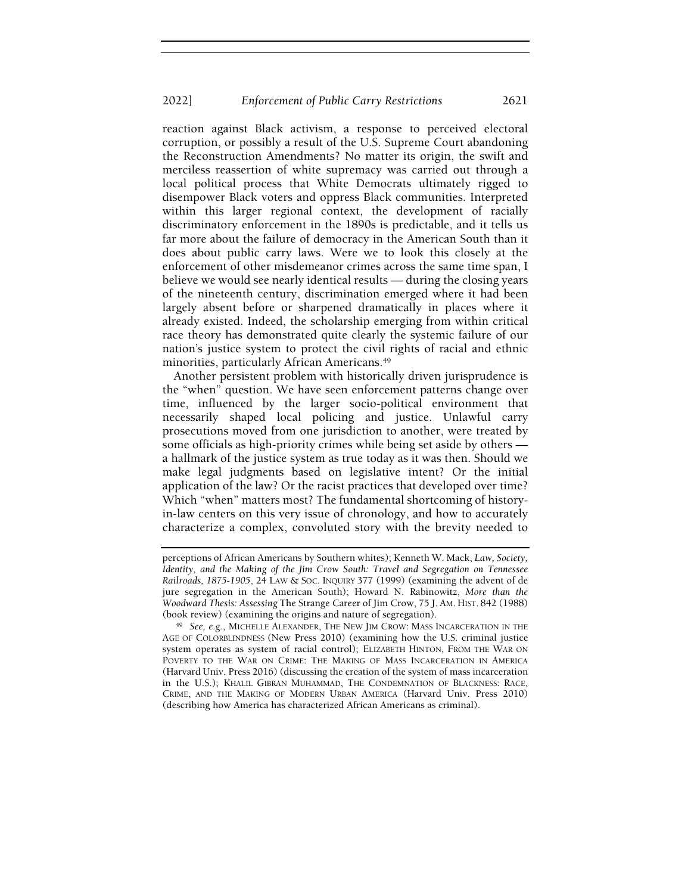reaction against Black activism, a response to perceived electoral corruption, or possibly a result of the U.S. Supreme Court abandoning the Reconstruction Amendments? No matter its origin, the swift and merciless reassertion of white supremacy was carried out through a local political process that White Democrats ultimately rigged to disempower Black voters and oppress Black communities. Interpreted within this larger regional context, the development of racially discriminatory enforcement in the 1890s is predictable, and it tells us far more about the failure of democracy in the American South than it does about public carry laws. Were we to look this closely at the enforcement of other misdemeanor crimes across the same time span, I believe we would see nearly identical results — during the closing years of the nineteenth century, discrimination emerged where it had been largely absent before or sharpened dramatically in places where it already existed. Indeed, the scholarship emerging from within critical race theory has demonstrated quite clearly the systemic failure of our nation's justice system to protect the civil rights of racial and ethnic minorities, particularly African Americans.<sup>49</sup>

Another persistent problem with historically driven jurisprudence is the "when" question. We have seen enforcement patterns change over time, influenced by the larger socio-political environment that necessarily shaped local policing and justice. Unlawful carry prosecutions moved from one jurisdiction to another, were treated by some officials as high-priority crimes while being set aside by others a hallmark of the justice system as true today as it was then. Should we make legal judgments based on legislative intent? Or the initial application of the law? Or the racist practices that developed over time? Which "when" matters most? The fundamental shortcoming of historyin-law centers on this very issue of chronology, and how to accurately characterize a complex, convoluted story with the brevity needed to

perceptions of African Americans by Southern whites); Kenneth W. Mack, Law, Society, Identity, and the Making of the Jim Crow South: Travel and Segregation on Tennessee Railroads, 1875-1905, 24 LAW & SOC. INQUIRY 377 (1999) (examining the advent of de jure segregation in the American South); Howard N. Rabinowitz, More than the Woodward Thesis: Assessing The Strange Career of Jim Crow, 75 J. AM. HIST. 842 (1988) (book review) (examining the origins and nature of segregation).

<sup>49</sup> See, e.g., MICHELLE ALEXANDER, THE NEW JIM CROW: MASS INCARCERATION IN THE AGE OF COLORBLINDNESS (New Press 2010) (examining how the U.S. criminal justice system operates as system of racial control); ELIZABETH HINTON, FROM THE WAR ON POVERTY TO THE WAR ON CRIME: THE MAKING OF MASS INCARCERATION IN AMERICA (Harvard Univ. Press 2016) (discussing the creation of the system of mass incarceration in the U.S.); KHALIL GIBRAN MUHAMMAD, THE CONDEMNATION OF BLACKNESS: RACE, CRIME, AND THE MAKING OF MODERN URBAN AMERICA (Harvard Univ. Press 2010) (describing how America has characterized African Americans as criminal).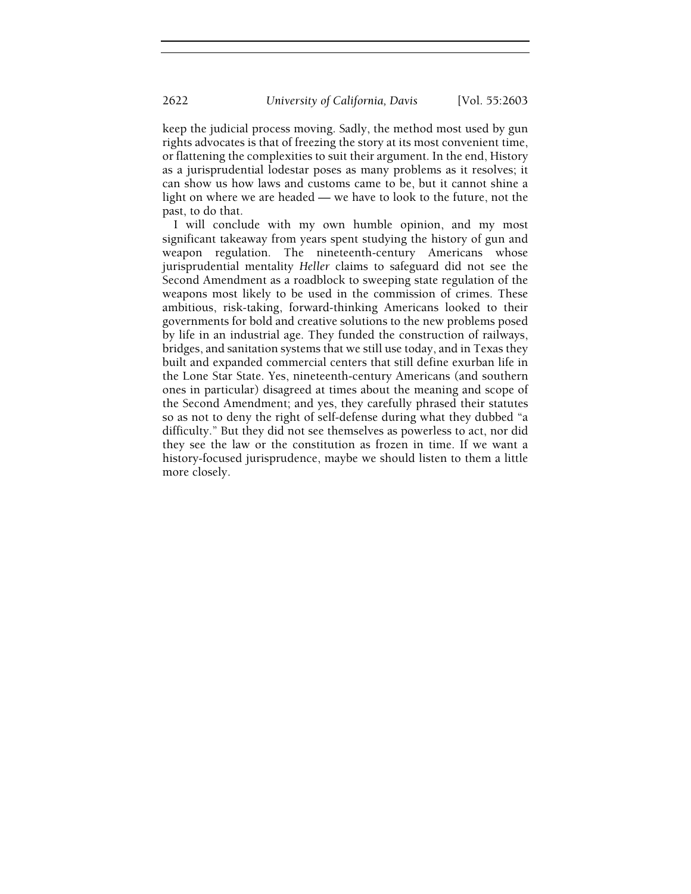keep the judicial process moving. Sadly, the method most used by gun rights advocates is that of freezing the story at its most convenient time, or flattening the complexities to suit their argument. In the end, History as a jurisprudential lodestar poses as many problems as it resolves; it can show us how laws and customs came to be, but it cannot shine a light on where we are headed — we have to look to the future, not the past, to do that.

I will conclude with my own humble opinion, and my most significant takeaway from years spent studying the history of gun and weapon regulation. The nineteenth-century Americans whose jurisprudential mentality Heller claims to safeguard did not see the Second Amendment as a roadblock to sweeping state regulation of the weapons most likely to be used in the commission of crimes. These ambitious, risk-taking, forward-thinking Americans looked to their governments for bold and creative solutions to the new problems posed by life in an industrial age. They funded the construction of railways, bridges, and sanitation systems that we still use today, and in Texas they built and expanded commercial centers that still define exurban life in the Lone Star State. Yes, nineteenth-century Americans (and southern ones in particular) disagreed at times about the meaning and scope of the Second Amendment; and yes, they carefully phrased their statutes so as not to deny the right of self-defense during what they dubbed "a difficulty." But they did not see themselves as powerless to act, nor did they see the law or the constitution as frozen in time. If we want a history-focused jurisprudence, maybe we should listen to them a little more closely.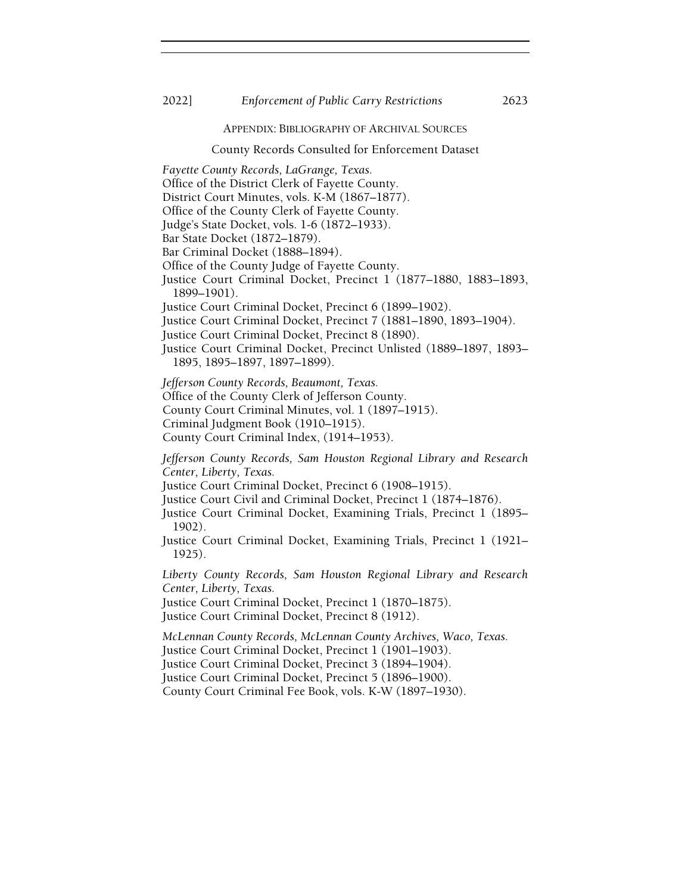#### 2022] Enforcement of Public Carry Restrictions 2623

APPENDIX: BIBLIOGRAPHY OF ARCHIVAL SOURCES

#### County Records Consulted for Enforcement Dataset

Fayette County Records, LaGrange, Texas. Office of the District Clerk of Fayette County. District Court Minutes, vols. K-M (1867–1877). Office of the County Clerk of Fayette County. Judge's State Docket, vols. 1-6 (1872–1933). Bar State Docket (1872–1879). Bar Criminal Docket (1888–1894). Office of the County Judge of Fayette County. Justice Court Criminal Docket, Precinct 1 (1877–1880, 1883–1893, 1899–1901). Justice Court Criminal Docket, Precinct 6 (1899–1902). Justice Court Criminal Docket, Precinct 7 (1881–1890, 1893–1904). Justice Court Criminal Docket, Precinct 8 (1890). Justice Court Criminal Docket, Precinct Unlisted (1889–1897, 1893– 1895, 1895–1897, 1897–1899). Jefferson County Records, Beaumont, Texas. Office of the County Clerk of Jefferson County. County Court Criminal Minutes, vol. 1 (1897–1915). Criminal Judgment Book (1910–1915). County Court Criminal Index, (1914–1953). Jefferson County Records, Sam Houston Regional Library and Research Center, Liberty, Texas. Justice Court Criminal Docket, Precinct 6 (1908–1915). Justice Court Civil and Criminal Docket, Precinct 1 (1874–1876). Justice Court Criminal Docket, Examining Trials, Precinct 1 (1895– 1902). Justice Court Criminal Docket, Examining Trials, Precinct 1 (1921– 1925). Liberty County Records, Sam Houston Regional Library and Research Center, Liberty, Texas. Justice Court Criminal Docket, Precinct 1 (1870–1875). Justice Court Criminal Docket, Precinct 8 (1912). McLennan County Records, McLennan County Archives, Waco, Texas.

Justice Court Criminal Docket, Precinct 1 (1901–1903). Justice Court Criminal Docket, Precinct 3 (1894–1904). Justice Court Criminal Docket, Precinct 5 (1896–1900). County Court Criminal Fee Book, vols. K-W (1897–1930).